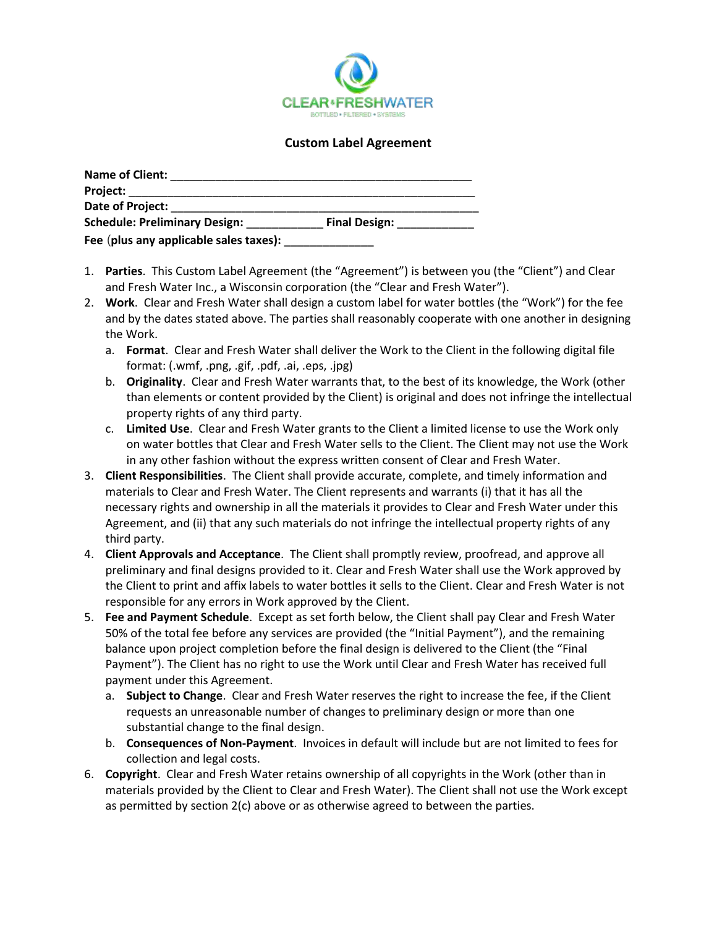

## **Custom Label Agreement**

| <b>Name of Client:</b>                 |                      |  |
|----------------------------------------|----------------------|--|
| Project: ___________________           |                      |  |
| Date of Project:                       |                      |  |
| <b>Schedule: Preliminary Design:</b>   | <b>Final Design:</b> |  |
| Fee (plus any applicable sales taxes): |                      |  |

- 1. **Parties**. This Custom Label Agreement (the "Agreement") is between you (the "Client") and Clear and Fresh Water Inc., a Wisconsin corporation (the "Clear and Fresh Water").
- 2. **Work**. Clear and Fresh Water shall design a custom label for water bottles (the "Work") for the fee and by the dates stated above. The parties shall reasonably cooperate with one another in designing the Work.
	- a. **Format**. Clear and Fresh Water shall deliver the Work to the Client in the following digital file format: (.wmf, .png, .gif, .pdf, .ai, .eps, .jpg)
	- b. **Originality**. Clear and Fresh Water warrants that, to the best of its knowledge, the Work (other than elements or content provided by the Client) is original and does not infringe the intellectual property rights of any third party.
	- c. **Limited Use**. Clear and Fresh Water grants to the Client a limited license to use the Work only on water bottles that Clear and Fresh Water sells to the Client. The Client may not use the Work in any other fashion without the express written consent of Clear and Fresh Water.
- 3. **Client Responsibilities**. The Client shall provide accurate, complete, and timely information and materials to Clear and Fresh Water. The Client represents and warrants (i) that it has all the necessary rights and ownership in all the materials it provides to Clear and Fresh Water under this Agreement, and (ii) that any such materials do not infringe the intellectual property rights of any third party.
- 4. **Client Approvals and Acceptance**. The Client shall promptly review, proofread, and approve all preliminary and final designs provided to it. Clear and Fresh Water shall use the Work approved by the Client to print and affix labels to water bottles it sells to the Client. Clear and Fresh Water is not responsible for any errors in Work approved by the Client.
- 5. **Fee and Payment Schedule**. Except as set forth below, the Client shall pay Clear and Fresh Water 50% of the total fee before any services are provided (the "Initial Payment"), and the remaining balance upon project completion before the final design is delivered to the Client (the "Final Payment"). The Client has no right to use the Work until Clear and Fresh Water has received full payment under this Agreement.
	- a. **Subject to Change**. Clear and Fresh Water reserves the right to increase the fee, if the Client requests an unreasonable number of changes to preliminary design or more than one substantial change to the final design.
	- b. **Consequences of Non-Payment**. Invoices in default will include but are not limited to fees for collection and legal costs.
- 6. **Copyright**. Clear and Fresh Water retains ownership of all copyrights in the Work (other than in materials provided by the Client to Clear and Fresh Water). The Client shall not use the Work except as permitted by section  $2(c)$  above or as otherwise agreed to between the parties.